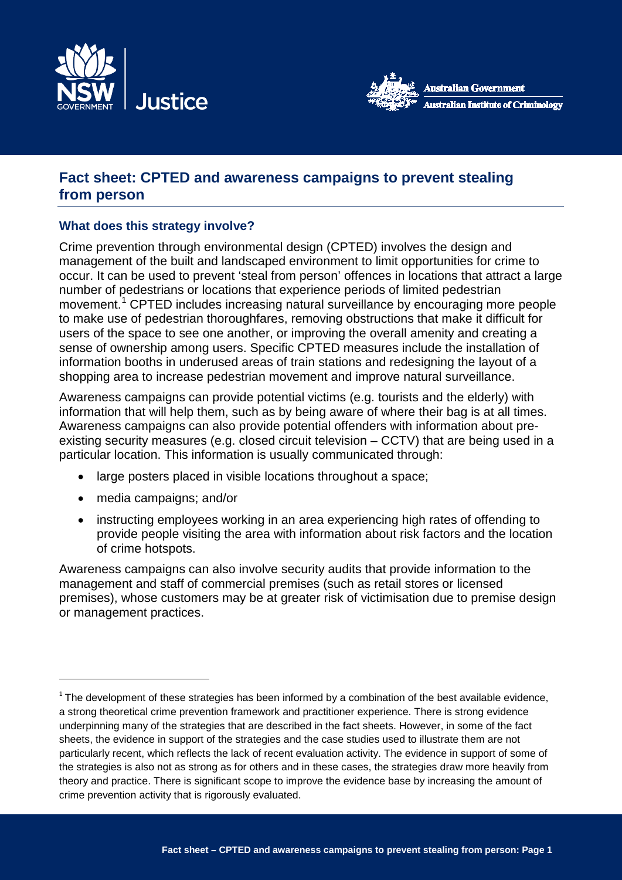



# **Fact sheet: CPTED and awareness campaigns to prevent stealing from person**

# **What does this strategy involve?**

Crime prevention through environmental design (CPTED) involves the design and management of the built and landscaped environment to limit opportunities for crime to occur. It can be used to prevent 'steal from person' offences in locations that attract a large number of pedestrians or locations that experience periods of limited pedestrian movement.<sup>[1](#page-0-0)</sup> CPTED includes increasing natural surveillance by encouraging more people to make use of pedestrian thoroughfares, removing obstructions that make it difficult for users of the space to see one another, or improving the overall amenity and creating a sense of ownership among users. Specific CPTED measures include the installation of information booths in underused areas of train stations and redesigning the layout of a shopping area to increase pedestrian movement and improve natural surveillance.

Awareness campaigns can provide potential victims (e.g. tourists and the elderly) with information that will help them, such as by being aware of where their bag is at all times. Awareness campaigns can also provide potential offenders with information about preexisting security measures (e.g. closed circuit television – CCTV) that are being used in a particular location. This information is usually communicated through:

- large posters placed in visible locations throughout a space;
- media campaigns; and/or

-

• instructing employees working in an area experiencing high rates of offending to provide people visiting the area with information about risk factors and the location of crime hotspots.

Awareness campaigns can also involve security audits that provide information to the management and staff of commercial premises (such as retail stores or licensed premises), whose customers may be at greater risk of victimisation due to premise design or management practices.

<span id="page-0-0"></span> $1$  The development of these strategies has been informed by a combination of the best available evidence, a strong theoretical crime prevention framework and practitioner experience. There is strong evidence underpinning many of the strategies that are described in the fact sheets. However, in some of the fact sheets, the evidence in support of the strategies and the case studies used to illustrate them are not particularly recent, which reflects the lack of recent evaluation activity. The evidence in support of some of the strategies is also not as strong as for others and in these cases, the strategies draw more heavily from theory and practice. There is significant scope to improve the evidence base by increasing the amount of crime prevention activity that is rigorously evaluated.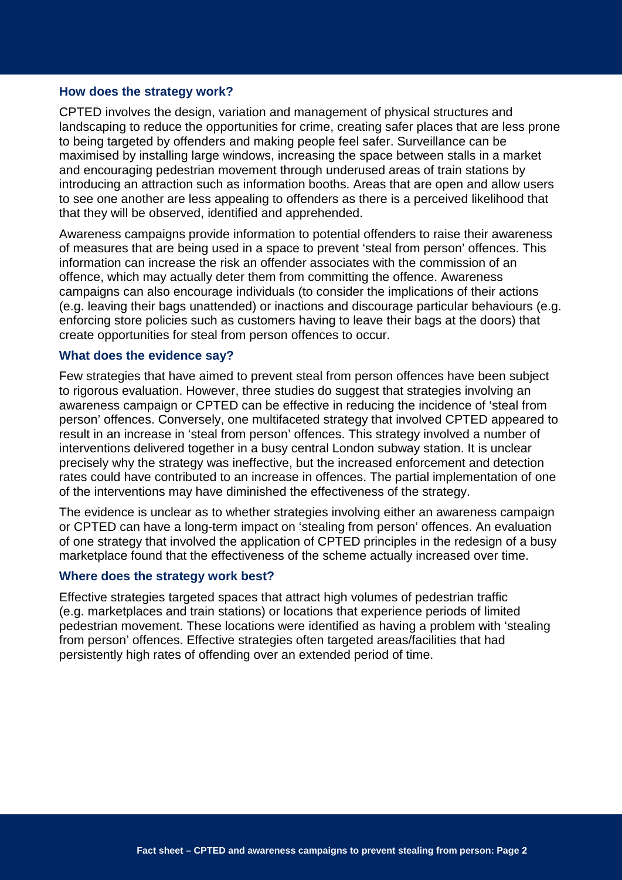#### **How does the strategy work?**

CPTED involves the design, variation and management of physical structures and landscaping to reduce the opportunities for crime, creating safer places that are less prone to being targeted by offenders and making people feel safer. Surveillance can be maximised by installing large windows, increasing the space between stalls in a market and encouraging pedestrian movement through underused areas of train stations by introducing an attraction such as information booths. Areas that are open and allow users to see one another are less appealing to offenders as there is a perceived likelihood that that they will be observed, identified and apprehended.

Awareness campaigns provide information to potential offenders to raise their awareness of measures that are being used in a space to prevent 'steal from person' offences. This information can increase the risk an offender associates with the commission of an offence, which may actually deter them from committing the offence. Awareness campaigns can also encourage individuals (to consider the implications of their actions (e.g. leaving their bags unattended) or inactions and discourage particular behaviours (e.g. enforcing store policies such as customers having to leave their bags at the doors) that create opportunities for steal from person offences to occur.

#### **What does the evidence say?**

Few strategies that have aimed to prevent steal from person offences have been subject to rigorous evaluation. However, three studies do suggest that strategies involving an awareness campaign or CPTED can be effective in reducing the incidence of 'steal from person' offences. Conversely, one multifaceted strategy that involved CPTED appeared to result in an increase in 'steal from person' offences. This strategy involved a number of interventions delivered together in a busy central London subway station. It is unclear precisely why the strategy was ineffective, but the increased enforcement and detection rates could have contributed to an increase in offences. The partial implementation of one of the interventions may have diminished the effectiveness of the strategy.

The evidence is unclear as to whether strategies involving either an awareness campaign or CPTED can have a long-term impact on 'stealing from person' offences. An evaluation of one strategy that involved the application of CPTED principles in the redesign of a busy marketplace found that the effectiveness of the scheme actually increased over time.

#### **Where does the strategy work best?**

Effective strategies targeted spaces that attract high volumes of pedestrian traffic (e.g. marketplaces and train stations) or locations that experience periods of limited pedestrian movement. These locations were identified as having a problem with 'stealing from person' offences. Effective strategies often targeted areas/facilities that had persistently high rates of offending over an extended period of time.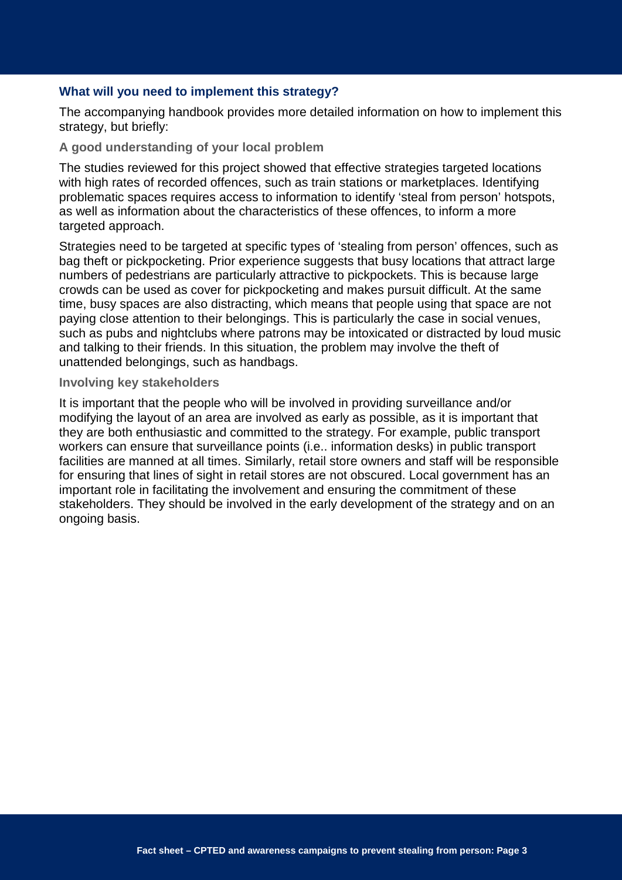#### **What will you need to implement this strategy?**

The accompanying handbook provides more detailed information on how to implement this strategy, but briefly:

#### **A good understanding of your local problem**

The studies reviewed for this project showed that effective strategies targeted locations with high rates of recorded offences, such as train stations or marketplaces. Identifying problematic spaces requires access to information to identify 'steal from person' hotspots, as well as information about the characteristics of these offences, to inform a more targeted approach.

Strategies need to be targeted at specific types of 'stealing from person' offences, such as bag theft or pickpocketing. Prior experience suggests that busy locations that attract large numbers of pedestrians are particularly attractive to pickpockets. This is because large crowds can be used as cover for pickpocketing and makes pursuit difficult. At the same time, busy spaces are also distracting, which means that people using that space are not paying close attention to their belongings. This is particularly the case in social venues, such as pubs and nightclubs where patrons may be intoxicated or distracted by loud music and talking to their friends. In this situation, the problem may involve the theft of unattended belongings, such as handbags.

#### **Involving key stakeholders**

It is important that the people who will be involved in providing surveillance and/or modifying the layout of an area are involved as early as possible, as it is important that they are both enthusiastic and committed to the strategy. For example, public transport workers can ensure that surveillance points (i.e.. information desks) in public transport facilities are manned at all times. Similarly, retail store owners and staff will be responsible for ensuring that lines of sight in retail stores are not obscured. Local government has an important role in facilitating the involvement and ensuring the commitment of these stakeholders. They should be involved in the early development of the strategy and on an ongoing basis.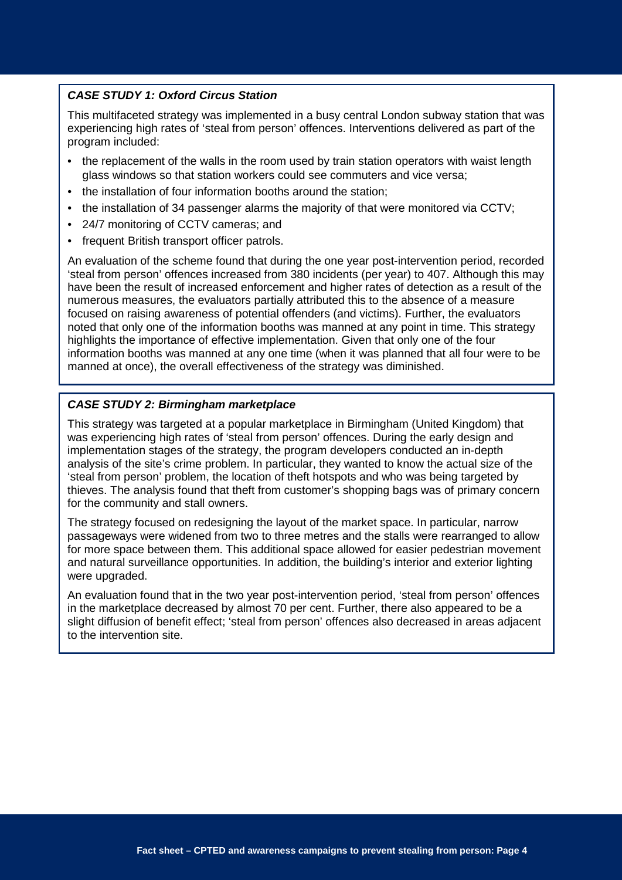### *CASE STUDY 1: Oxford Circus Station*

This multifaceted strategy was implemented in a busy central London subway station that was experiencing high rates of 'steal from person' offences. Interventions delivered as part of the program included:

- the replacement of the walls in the room used by train station operators with waist length glass windows so that station workers could see commuters and vice versa;
- the installation of four information booths around the station:
- the installation of 34 passenger alarms the majority of that were monitored via CCTV;
- 24/7 monitoring of CCTV cameras; and
- frequent British transport officer patrols.

An evaluation of the scheme found that during the one year post-intervention period, recorded 'steal from person' offences increased from 380 incidents (per year) to 407. Although this may have been the result of increased enforcement and higher rates of detection as a result of the numerous measures, the evaluators partially attributed this to the absence of a measure focused on raising awareness of potential offenders (and victims). Further, the evaluators noted that only one of the information booths was manned at any point in time. This strategy highlights the importance of effective implementation. Given that only one of the four information booths was manned at any one time (when it was planned that all four were to be manned at once), the overall effectiveness of the strategy was diminished.

#### *CASE STUDY 2: Birmingham marketplace*

This strategy was targeted at a popular marketplace in Birmingham (United Kingdom) that was experiencing high rates of 'steal from person' offences. During the early design and implementation stages of the strategy, the program developers conducted an in-depth analysis of the site's crime problem. In particular, they wanted to know the actual size of the 'steal from person' problem, the location of theft hotspots and who was being targeted by thieves. The analysis found that theft from customer's shopping bags was of primary concern for the community and stall owners.

The strategy focused on redesigning the layout of the market space. In particular, narrow passageways were widened from two to three metres and the stalls were rearranged to allow for more space between them. This additional space allowed for easier pedestrian movement and natural surveillance opportunities. In addition, the building's interior and exterior lighting were upgraded.

An evaluation found that in the two year post-intervention period, 'steal from person' offences in the marketplace decreased by almost 70 per cent. Further, there also appeared to be a slight diffusion of benefit effect; 'steal from person' offences also decreased in areas adjacent to the intervention site.